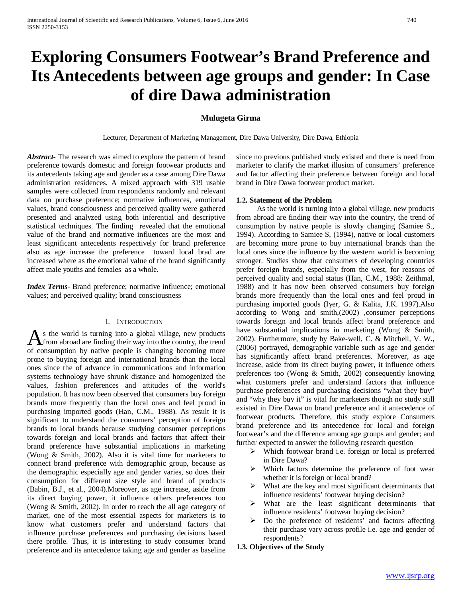# **Exploring Consumers Footwear's Brand Preference and Its Antecedents between age groups and gender: In Case of dire Dawa administration**

# **Mulugeta Girma**

Lecturer, Department of Marketing Management, Dire Dawa University, Dire Dawa, Ethiopia

*Abstract***-** The research was aimed to explore the pattern of brand preference towards domestic and foreign footwear products and its antecedents taking age and gender as a case among Dire Dawa administration residences. A mixed approach with 319 usable samples were collected from respondents randomly and relevant data on purchase preference; normative influences, emotional values, brand consciousness and perceived quality were gathered presented and analyzed using both inferential and descriptive statistical techniques. The finding revealed that the emotional value of the brand and normative influences are the most and least significant antecedents respectively for brand preference also as age increase the preference toward local brad are increased where as the emotional value of the brand significantly affect male youths and females as a whole.

*Index Terms*- Brand preference; normative influence; emotional values; and perceived quality; brand consciousness

## I. INTRODUCTION

s the world is turning into a global village, new products As the world is turning into a global village, new products<br>from abroad are finding their way into the country, the trend of consumption by native people is changing becoming more prone to buying foreign and international brands than the local ones since the of advance in communications and information systems technology have shrunk distance and homogenized the values, fashion preferences and attitudes of the world's population. It has now been observed that consumers buy foreign brands more frequently than the local ones and feel proud in purchasing imported goods (Han, C.M., 1988). As result it is significant to understand the consumers' perception of foreign brands to local brands because studying consumer perceptions towards foreign and local brands and factors that affect their brand preference have substantial implications in marketing (Wong & Smith, 2002). Also it is vital time for marketers to connect brand preference with demographic group, because as the demographic especially age and gender varies, so does their consumption for different size style and brand of products (Babin, B.J., et al., 2004).Moreover, as age increase, aside from its direct buying power, it influence others preferences too (Wong & Smith, 2002). In order to reach the all age category of market, one of the most essential aspects for marketers is to know what customers prefer and understand factors that influence purchase preferences and purchasing decisions based there profile. Thus, it is interesting to study consumer brand preference and its antecedence taking age and gender as baseline

since no previous published study existed and there is need from marketer to clarify the market illusion of consumers' preference and factor affecting their preference between foreign and local brand in Dire Dawa footwear product market.

## **1.2. Statement of the Problem**

 As the world is turning into a global village, new products from abroad are finding their way into the country, the trend of consumption by native people is slowly changing (Samiee S., 1994). According to Samiee S, (1994), native or local customers are becoming more prone to buy international brands than the local ones since the influence by the western world is becoming stronger. Studies show that consumers of developing countries prefer foreign brands, especially from the west, for reasons of perceived quality and social status (Han, C.M., 1988: Zeithmal, 1988) and it has now been observed consumers buy foreign brands more frequently than the local ones and feel proud in purchasing imported goods (Iyer, G. & Kalita, J.K. 1997).Also according to Wong and smith,(2002) ,consumer perceptions towards foreign and local brands affect brand preference and have substantial implications in marketing (Wong & Smith, 2002). Furthermore, study by Bake-well, C. & Mitchell, V. W., (2006) portrayed, demographic variable such as age and gender has significantly affect brand preferences. Moreover, as age increase, aside from its direct buying power, it influence others preferences too (Wong & Smith, 2002) consequently knowing what customers prefer and understand factors that influence purchase preferences and purchasing decisions "what they buy" and "why they buy it" is vital for marketers though no study still existed in Dire Dawa on brand preference and it antecedence of footwear products. Therefore, this study explore Consumers brand preference and its antecedence for local and foreign footwear's and the difference among age groups and gender; and further expected to answer the following research question

- Which footwear brand i.e. foreign or local is preferred in Dire Dawa?
- $\triangleright$  Which factors determine the preference of foot wear whether it is foreign or local brand?
- $\triangleright$  What are the key and most significant determinants that influence residents' footwear buying decision?
- $\triangleright$  What are the least significant determinants that influence residents' footwear buying decision?
- $\triangleright$  Do the preference of residents' and factors affecting their purchase vary across profile i.e. age and gender of respondents?
- **1.3. Objectives of the Study**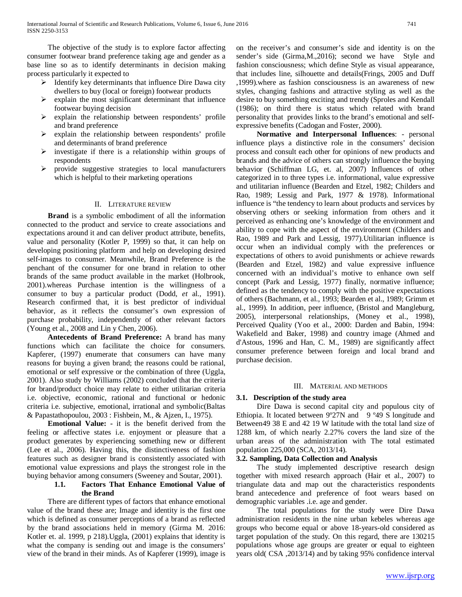The objective of the study is to explore factor affecting consumer footwear brand preference taking age and gender as a base line so as to identify determinants in decision making process particularly it expected to

- $\triangleright$  Identify key determinants that influence Dire Dawa city dwellers to buy (local or foreign) footwear products
- $\triangleright$  explain the most significant determinant that influence footwear buying decision
- $\triangleright$  explain the relationship between respondents' profile and brand preference
- $\triangleright$  explain the relationship between respondents' profile and determinants of brand preference
- $\triangleright$  investigate if there is a relationship within groups of respondents
- $\triangleright$  provide suggestive strategies to local manufacturers which is helpful to their marketing operations

## II. LITERATURE REVIEW

 **Brand** is a symbolic embodiment of all the information connected to the product and service to create associations and expectations around it and can deliver product attribute, benefits, value and personality (Kotler P, 1999) so that, it can help on developing positioning platform and help on developing desired self-images to consumer. Meanwhile, Brand Preference is the penchant of the consumer for one brand in relation to other brands of the same product available in the market (Holbrook, 2001).whereas Purchase intention is the willingness of a consumer to buy a particular product (Dodd, *et* al*.,* 1991). Research confirmed that, it is best predictor of individual behavior, as it reflects the consumer's own expression of purchase probability, independently of other relevant factors (Young et al*.*, 2008 and Lin y Chen, 2006).

 **Antecedents of Brand Preference:** A brand has many functions which can facilitate the choice for consumers. Kapferer, (1997) enumerate that consumers can have many reasons for buying a given brand; the reasons could be rational, emotional or self expressive or the combination of three (Uggla, 2001). Also study by Williams (2002) concluded that the criteria for brand/product choice may relate to either utilitarian criteria i.e. objective, economic, rational and functional or hedonic criteria i.e. subjective, emotional, irrational and symbolic(Baltas & Papastathopoulou, 2003 : Fishbein, M., & Ajzen, I., 1975).

 **Emotional Value: -** it is the benefit derived from the feeling or affective states i.e. enjoyment or pleasure that a product generates by experiencing something new or different (Lee et al., 2006). Having this, the distinctiveness of fashion features such as designer brand is consistently associated with emotional value expressions and plays the strongest role in the buying behavior among consumers (Sweeney and Soutar, 2001).

# **1.1. Factors That Enhance Emotional Value of the Brand**

 There are different types of factors that enhance emotional value of the brand these are; Image and identity is the first one which is defined as consumer perceptions of a brand as reflected by the brand associations held in memory (Girma M. 2016: Kotler et. al. 1999, p 218).Uggla, (2001) explains that identity is what the company is sending out and image is the consumers' view of the brand in their minds. As of Kapferer (1999), image is on the receiver's and consumer's side and identity is on the sender's side (Girma,M.,2016); second we have Style and fashion consciousness; which define Style as visual appearance, that includes line, silhouette and details(Frings, 2005 and Duff ,1999).where as fashion consciousness is an awareness of new styles, changing fashions and attractive styling as well as the desire to buy something exciting and trendy (Sproles and Kendall (1986); on third there is status which related with brand personality that provides links to the brand's emotional and selfexpressive benefits (Cadogan and Foster, 2000).

 **Normative and Interpersonal Influences**: - personal influence plays a distinctive role in the consumers' decision process and consult each other for opinions of new products and brands and the advice of others can strongly influence the buying behavior (Schiffman LG, et. al, 2007) Influences of other categorized in to three types i.e. informational, value expressive and utilitarian influence (Bearden and Etzel, 1982; Childers and Rao, 1989; Lessig and Park, 1977 & 1978). Informational influence is "the tendency to learn about products and services by observing others or seeking information from others and it perceived as enhancing one's knowledge of the environment and ability to cope with the aspect of the environment (Childers and Rao, 1989 and Park and Lessig, 1977).Utilitarian influence is occur when an individual comply with the preferences or expectations of others to avoid punishments or achieve rewards (Bearden and Etzel, 1982) and value expressive influence concerned with an individual's motive to enhance own self concept (Park and Lessig, 1977) finally, normative influence; defined as the tendency to comply with the positive expectations of others (Bachmann, et al., 1993; Bearden et al., 1989; Grimm et al., 1999). In addition, peer influence, (Bristol and Mangleburg, 2005), interpersonal relationships, (Money et al., 1998), Perceived Quality (Yoo et al., 2000: Darden and Babin, 1994: Wakefield and Baker, 1998) and country image (Ahmed and d'Astous, 1996 and Han, C. M., 1989) are significantly affect consumer preference between foreign and local brand and purchase decision.

## III. MATERIAL AND METHODS

# **3.1. Description of the study area**

 Dire Dawa is second capital city and populous city of Ethiopia. It located between 9°27N and 9°49 S longitude and Between49 38 E and 42 19 W latitude with the total land size of 1288 km, of which nearly 2.27% covers the land size of the urban areas of the administration with The total estimated population 225,000 (SCA, 2013/14).

## **3.2. Sampling, Data Collection and Analysis**

 The study implemented descriptive research design together with mixed research approach (Hair et al., 2007) to triangulate data and map out the characteristics respondents brand antecedence and preference of foot wears based on demographic variables .i.e. age and gender.

 The total populations for the study were Dire Dawa administration residents in the nine urban kebeles whereas age groups who become equal or above 18-years-old considered as target population of the study. On this regard, there are 130215 populations whose age groups are greater or equal to eighteen years old( CSA ,2013/14) and by taking 95% confidence interval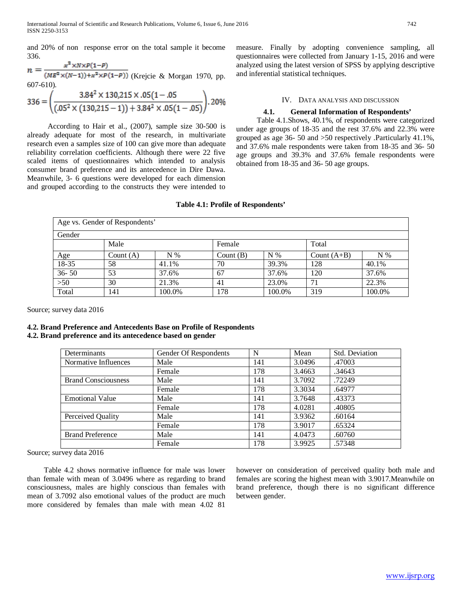and 20% of non response error on the total sample it become 336.

$$
n = \frac{x^2 \times N \times P(1-P)}{(ME^2 \times (N-1)) + x^2 \times P(1-P))}
$$
 (Krejcie & Morgan 1970, pp.  
607-610).  

$$
336 = \left(\frac{3.84^2 \times 130,215 \times .05(1-.05)}{(.05^2 \times (130,215-1)) + 3.84^2 \times .05(1-.05)}\right).
$$
20%

 According to Hair et al., (2007), sample size 30-500 is already adequate for most of the research, in multivariate research even a samples size of 100 can give more than adequate reliability correlation coefficients. Although there were 22 five scaled items of questionnaires which intended to analysis consumer brand preference and its antecedence in Dire Dawa. Meanwhile*,* 3- 6 questions were developed for each dimension and grouped according to the constructs they were intended to measure. Finally by adopting convenience sampling, all questionnaires were collected from January 1-15, 2016 and were analyzed using the latest version of SPSS by applying descriptive and inferential statistical techniques.

#### IV. DATA ANALYSIS AND DISCUSSION

## **4.1. General Information of Respondents'**

 Table 4.1.Shows, 40.1%, of respondents were categorized under age groups of 18-35 and the rest 37.6% and 22.3% were grouped as age 36- 50 and >50 respectively .Particularly 41.1%, and 37.6% male respondents were taken from 18-35 and 36- 50 age groups and 39.3% and 37.6% female respondents were obtained from 18-35 and 36- 50 age groups.

#### **Table 4.1: Profile of Respondents'**

| Age vs. Gender of Respondents' |             |        |             |        |               |        |  |  |  |  |
|--------------------------------|-------------|--------|-------------|--------|---------------|--------|--|--|--|--|
| Gender                         |             |        |             |        |               |        |  |  |  |  |
|                                | Male        |        | Female      |        | Total         |        |  |  |  |  |
| Age                            | Count $(A)$ | $N\%$  | Count $(B)$ | $N\%$  | Count $(A+B)$ | $N\%$  |  |  |  |  |
| $18-35$                        | 58          | 41.1%  | 70          | 39.3%  | 128           | 40.1%  |  |  |  |  |
| $36 - 50$                      | 53          | 37.6%  | 67          | 37.6%  | 120           | 37.6%  |  |  |  |  |
| $>50$                          | 30          | 21.3%  | 41          | 23.0%  | 71            | 22.3%  |  |  |  |  |
| Total                          | 141         | 100.0% | 178         | 100.0% | 319           | 100.0% |  |  |  |  |

Source; survey data 2016

## **4.2. Brand Preference and Antecedents Base on Profile of Respondents 4.2. Brand preference and its antecedence based on gender**

| Determinants               | Gender Of Respondents | N   | Mean   | Std. Deviation |
|----------------------------|-----------------------|-----|--------|----------------|
| Normative Influences       | Male                  | 141 | 3.0496 | .47003         |
|                            | Female                | 178 | 3.4663 | .34643         |
| <b>Brand Consciousness</b> | Male                  | 141 | 3.7092 | .72249         |
|                            | Female                | 178 | 3.3034 | .64977         |
| <b>Emotional Value</b>     | Male                  | 141 | 3.7648 | .43373         |
|                            | Female                | 178 | 4.0281 | .40805         |
| Perceived Quality          | Male                  | 141 | 3.9362 | .60164         |
|                            | Female                | 178 | 3.9017 | .65324         |
| <b>Brand Preference</b>    | Male                  | 141 | 4.0473 | .60760         |
|                            | Female                | 178 | 3.9925 | .57348         |

Source; survey data 2016

 Table 4.2 shows normative influence for male was lower than female with mean of 3.0496 where as regarding to brand consciousness, males are highly conscious than females with mean of 3.7092 also emotional values of the product are much more considered by females than male with mean 4.02 81

however on consideration of perceived quality both male and females are scoring the highest mean with 3.9017.Meanwhile on brand preference, though there is no significant difference between gender.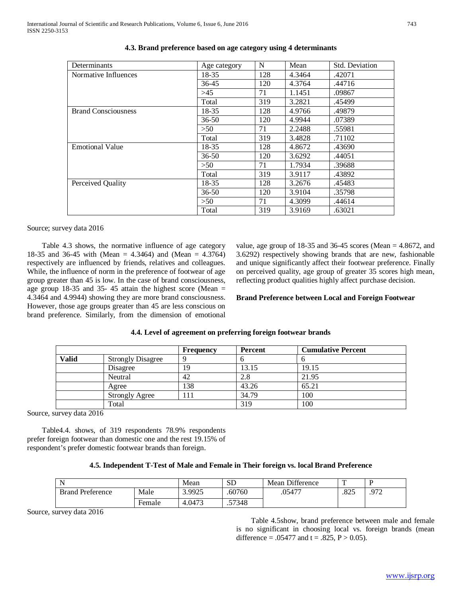| Determinants               | Age category | N   | Mean   | <b>Std. Deviation</b> |
|----------------------------|--------------|-----|--------|-----------------------|
| Normative Influences       | 18-35        | 128 | 4.3464 | .42071                |
|                            | 36-45        | 120 | 4.3764 | .44716                |
|                            | >45          | 71  | 1.1451 | .09867                |
|                            | Total        | 319 | 3.2821 | .45499                |
| <b>Brand Consciousness</b> | 18-35        | 128 | 4.9766 | .49879                |
|                            | $36 - 50$    | 120 | 4.9944 | .07389                |
|                            | >50          | 71  | 2.2488 | .55981                |
|                            | Total        | 319 | 3.4828 | .71102                |
| <b>Emotional Value</b>     | 18-35        | 128 | 4.8672 | .43690                |
|                            | $36 - 50$    | 120 | 3.6292 | .44051                |
|                            | >50          | 71  | 1.7934 | .39688                |
|                            | Total        | 319 | 3.9117 | .43892                |
| Perceived Quality          | 18-35        | 128 | 3.2676 | .45483                |
|                            | $36 - 50$    | 120 | 3.9104 | .35798                |
|                            | >50          | 71  | 4.3099 | .44614                |
|                            | Total        | 319 | 3.9169 | .63021                |

| 4.3. Brand preference based on age category using 4 determinants |  |  |  |  |  |  |  |
|------------------------------------------------------------------|--|--|--|--|--|--|--|
|------------------------------------------------------------------|--|--|--|--|--|--|--|

## Source; survey data 2016

 Table 4.3 shows, the normative influence of age category 18-35 and 36-45 with (Mean = 4.3464) and (Mean = 4.3764) respectively are influenced by friends, relatives and colleagues. While, the influence of norm in the preference of footwear of age group greater than 45 is low. In the case of brand consciousness, age group 18-35 and 35- 45 attain the highest score (Mean = 4.3464 and 4.9944) showing they are more brand consciousness. However, those age groups greater than 45 are less conscious on brand preference. Similarly, from the dimension of emotional value, age group of  $18-35$  and  $36-45$  scores (Mean = 4.8672, and 3.6292) respectively showing brands that are new, fashionable and unique significantly affect their footwear preference. Finally on perceived quality, age group of greater 35 scores high mean, reflecting product qualities highly affect purchase decision.

## **Brand Preference between Local and Foreign Footwear**

|              |                          | Frequency | Percent | <b>Cumulative Percent</b> |
|--------------|--------------------------|-----------|---------|---------------------------|
| <b>Valid</b> | <b>Strongly Disagree</b> |           |         |                           |
|              | Disagree                 | 19        | 13.15   | 19.15                     |
|              | Neutral                  | 42        | 2.8     | 21.95                     |
|              | Agree                    | 138       | 43.26   | 65.21                     |
|              | <b>Strongly Agree</b>    | 111       | 34.79   | 100                       |
|              | Total                    |           | 319     | 100                       |

## **4.4. Level of agreement on preferring foreign footwear brands**

Source, survey data 2016

 Table4.4. shows, of 319 respondents 78.9% respondents prefer foreign footwear than domestic one and the rest 19.15% of respondent's prefer domestic footwear brands than foreign.

|  |  |  |  |  | 4.5. Independent T-Test of Male and Female in Their foreign vs. local Brand Preference |
|--|--|--|--|--|----------------------------------------------------------------------------------------|
|  |  |  |  |  |                                                                                        |

| N                       |                                    | Mean   | <b>SD</b> | Mean Difference | m    |     |
|-------------------------|------------------------------------|--------|-----------|-----------------|------|-----|
| <b>Brand Preference</b> | Male                               | 3.9925 | .60760    | .05477          | .825 | 072 |
|                         | $\overline{\phantom{0}}$<br>Female | 4.0473 | 57348     |                 |      |     |

Source, survey data 2016

 Table 4.5show, brand preference between male and female is no significant in choosing local vs. foreign brands (mean difference = .05477 and t = .825,  $P > 0.05$ ).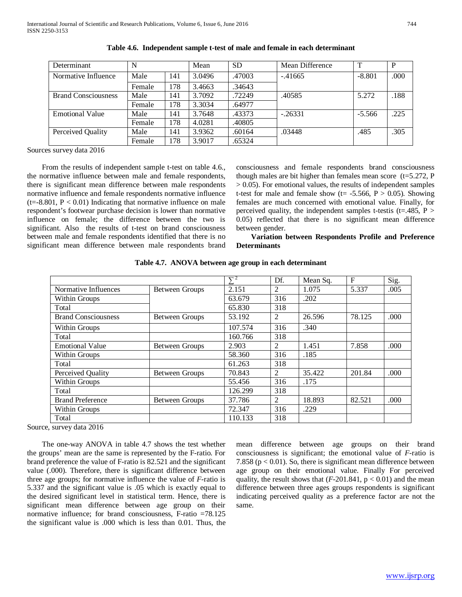| Determinant                | N      |     | Mean   | <b>SD</b> | Mean Difference | $\mathbf{T}$ | P    |
|----------------------------|--------|-----|--------|-----------|-----------------|--------------|------|
| Normative Influence        | Male   | 141 | 3.0496 | .47003    | $-.41665$       | $-8.801$     | .000 |
|                            | Female | 178 | 3.4663 | .34643    |                 |              |      |
| <b>Brand Consciousness</b> | Male   | 141 | 3.7092 | .72249    | .40585          | 5.272        | .188 |
|                            | Female | 178 | 3.3034 | .64977    |                 |              |      |
| <b>Emotional Value</b>     | Male   | 141 | 3.7648 | .43373    | $-.26331$       | $-5.566$     | .225 |
|                            | Female | 178 | 4.0281 | .40805    |                 |              |      |
| Perceived Quality          | Male   | 141 | 3.9362 | .60164    | .03448          | .485         | .305 |
|                            | Female | 178 | 3.9017 | .65324    |                 |              |      |

|  |  |  | Table 4.6. Independent sample t-test of male and female in each determinant |  |
|--|--|--|-----------------------------------------------------------------------------|--|
|--|--|--|-----------------------------------------------------------------------------|--|

Sources survey data 2016

 From the results of independent sample t-test on table 4.6., the normative influence between male and female respondents, there is significant mean difference between male respondents normative influence and female respondents normative influence  $(t=8.801, P < 0.01)$  Indicating that normative influence on male respondent's footwear purchase decision is lower than normative influence on female; the difference between the two is significant. Also the results of t-test on brand consciousness between male and female respondents identified that there is no significant mean difference between male respondents brand consciousness and female respondents brand consciousness though males are bit higher than females mean score  $(t=5.272, P)$  $> 0.05$ ). For emotional values, the results of independent samples t-test for male and female show (t= -5.566,  $P > 0.05$ ). Showing females are much concerned with emotional value. Finally, for perceived quality, the independent samples t-testis (t=.485,  $P >$ 0.05) reflected that there is no significant mean difference between gender.

# **Variation between Respondents Profile and Preference Determinants**

|                            |                       | $\nabla^2$ | Df. | Mean Sq. | $\mathbf{F}$ | Sig.  |
|----------------------------|-----------------------|------------|-----|----------|--------------|-------|
| Normative Influences       | <b>Between Groups</b> | 2.151      | 2   | 1.075    | 5.337        | .005  |
| Within Groups              |                       | 63.679     | 316 | .202     |              |       |
| Total                      |                       | 65.830     | 318 |          |              |       |
| <b>Brand Consciousness</b> | Between Groups        | 53.192     | 2   | 26.596   | 78.125       | .000. |
| Within Groups              |                       | 107.574    | 316 | .340     |              |       |
| Total                      |                       | 160.766    | 318 |          |              |       |
| <b>Emotional Value</b>     | Between Groups        | 2.903      | 2   | 1.451    | 7.858        | .000  |
| Within Groups              |                       | 58.360     | 316 | .185     |              |       |
| Total                      |                       | 61.263     | 318 |          |              |       |
| Perceived Quality          | <b>Between Groups</b> | 70.843     | 2   | 35.422   | 201.84       | .000. |
| Within Groups              |                       | 55.456     | 316 | .175     |              |       |
| Total                      |                       | 126.299    | 318 |          |              |       |
| <b>Brand Preference</b>    | <b>Between Groups</b> | 37.786     | 2   | 18.893   | 82.521       | .000. |
| Within Groups              |                       | 72.347     | 316 | .229     |              |       |
| Total                      |                       | 110.133    | 318 |          |              |       |

**Table 4.7. ANOVA between age group in each determinant**

Source, survey data 2016

 The one-way ANOVA in table 4.7 shows the test whether the groups' mean are the same is represented by the F-ratio. For brand preference the value of F-ratio is 82.521 and the significant value (.000). Therefore, there is significant difference between three age groups; for normative influence the value of *F*-ratio is 5.337 and the significant value is .05 which is exactly equal to the desired significant level in statistical term. Hence, there is significant mean difference between age group on their normative influence; for brand consciousness, F-ratio =78.125 the significant value is .000 which is less than 0.01. Thus, the mean difference between age groups on their brand consciousness is significant; the emotional value of *F*-ratio is 7.858 ( $p < 0.01$ ). So, there is significant mean difference between age group on their emotional value. Finally For perceived quality, the result shows that  $(F-201.841, p < 0.01)$  and the mean difference between three ages groups respondents is significant indicating perceived quality as a preference factor are not the same.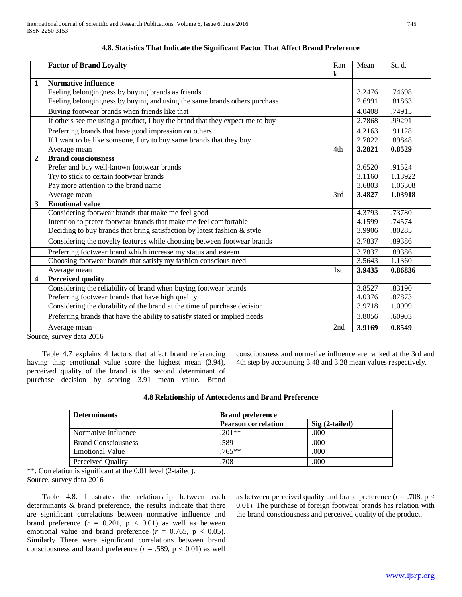|     |        | St. d.                               |
|-----|--------|--------------------------------------|
| k   |        |                                      |
|     |        | .74698                               |
|     |        | .81863                               |
|     |        | .74915                               |
|     | 2.7868 | .99291                               |
|     |        | .91128                               |
|     | 2.7022 | .89848                               |
| 4th | 3.2821 | 0.8529                               |
|     |        |                                      |
|     | 3.6520 | .91524                               |
|     | 3.1160 | 1.13922                              |
|     | 3.6803 | 1.06308                              |
| 3rd | 3.4827 | 1.03918                              |
|     |        |                                      |
|     | 4.3793 | .73780                               |
|     | 4.1599 | .74574                               |
|     | 3.9906 | .80285                               |
|     | 3.7837 | .89386                               |
|     | 3.7837 | .89386                               |
|     | 3.5643 | 1.1360                               |
| 1st | 3.9435 | 0.86836                              |
|     |        |                                      |
|     | 3.8527 | .83190                               |
|     | 4.0376 | .87873                               |
|     | 3.9718 | 1.0999                               |
|     | 3.8056 | .60903                               |
| 2nd | 3.9169 | 0.8549                               |
|     |        | 3.2476<br>2.6991<br>4.0408<br>4.2163 |

| 4.8. Statistics That Indicate the Significant Factor That Affect Brand Preference |  |  |  |  |  |  |  |  |  |  |  |
|-----------------------------------------------------------------------------------|--|--|--|--|--|--|--|--|--|--|--|
|-----------------------------------------------------------------------------------|--|--|--|--|--|--|--|--|--|--|--|

Source, survey data 2016

 Table 4.7 explains 4 factors that affect brand referencing having this; emotional value score the highest mean (3.94), perceived quality of the brand is the second determinant of purchase decision by scoring 3.91 mean value. Brand consciousness and normative influence are ranked at the 3rd and 4th step by accounting 3.48 and 3.28 mean values respectively.

| <b>Determinants</b>        | <b>Brand preference</b>    |                 |
|----------------------------|----------------------------|-----------------|
|                            | <b>Pearson correlation</b> | $Sig(2-tailed)$ |
| Normative Influence        | $.201**$                   | .000            |
| <b>Brand Consciousness</b> | .589                       | .000            |
| <b>Emotional Value</b>     | $.765**$                   | .000            |
| Perceived Quality          | .708                       | .000            |

\*\*. Correlation is significant at the 0.01 level (2-tailed). Source, survey data 2016

 Table 4.8. Illustrates the relationship between each determinants & brand preference, the results indicate that there are significant correlations between normative influence and brand preference  $(r = 0.201, p < 0.01)$  as well as between emotional value and brand preference  $(r = 0.765, p < 0.05)$ . Similarly There were significant correlations between brand consciousness and brand preference  $(r = .589, p < 0.01)$  as well

as between perceived quality and brand preference  $(r = .708, p <$ 0.01). The purchase of foreign footwear brands has relation with the brand consciousness and perceived quality of the product.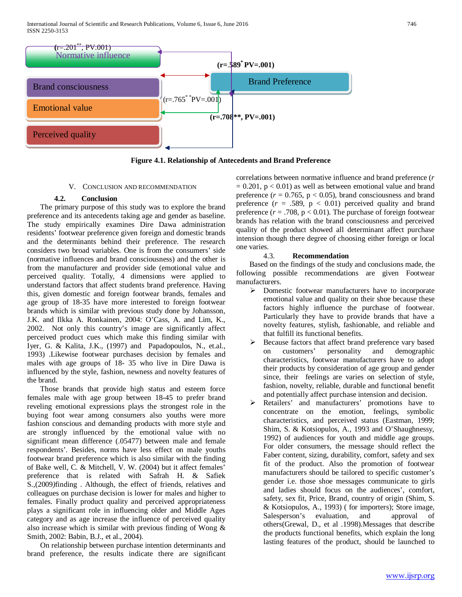

**Figure 4.1. Relationship of Antecedents and Brand Preference**

## V. CONCLUSION AND RECOMMENDATION

## **4.2. Conclusion**

 The primary purpose of this study was to explore the brand preference and its antecedents taking age and gender as baseline. The study empirically examines Dire Dawa administration residents' footwear preference given foreign and domestic brands and the determinants behind their preference. The research considers two broad variables. One is from the consumers' side (normative influences and brand consciousness) and the other is from the manufacturer and provider side (emotional value and perceived quality. Totally, 4 dimensions were applied to understand factors that affect students brand preference. Having this, given domestic and foreign footwear brands, females and age group of 18-35 have more interested to foreign footwear brands which is similar with previous study done by Johansson, J.K. and Ilkka A. Ronkainen, 2004: O'Cass, A. and Lim, K., 2002. Not only this country's image are significantly affect perceived product cues which make this finding similar with Iyer, G. & Kalita, J.K., (1997) and Papadopoulos, N., et.al., 1993) .Likewise footwear purchases decision by females and males with age groups of 18- 35 who live in Dire Dawa is influenced by the style, fashion, newness and novelty features of the brand.

 Those brands that provide high status and esteem force females male with age group between 18-45 to prefer brand reveling emotional expressions plays the strongest role in the buying foot wear among consumers also youths were more fashion conscious and demanding products with more style and are strongly influenced by the emotional value with no significant mean difference (.05477) between male and female respondents'. Besides, norms have less effect on male youths footwear brand preference which is also similar with the finding of Bake well, C. & Mitchell, V. W. (2004) but it affect females' preference that is related with Safrah H. & Safiek S.,(2009*)*finding . Although, the effect of friends, relatives and colleagues on purchase decision is lower for males and higher to females. Finally product quality and perceived appropriateness plays a significant role in influencing older and Middle Ages category and as age increase the influence of perceived quality also increase which is similar with previous finding of Wong & Smith, 2002: Babin, B.J., et al., 2004).

 On relationship between purchase intention determinants and brand preference, the results indicate there are significant correlations between normative influence and brand preference (*r*   $= 0.201$ ,  $p < 0.01$ ) as well as between emotional value and brand preference  $(r = 0.765, p < 0.05)$ , brand consciousness and brand preference  $(r = .589, p < 0.01)$  perceived quality and brand preference  $(r = .708, p < 0.01)$ . The purchase of foreign footwear brands has relation with the brand consciousness and perceived quality of the product showed all determinant affect purchase intension though there degree of choosing either foreign or local one varies.

## 4.3. **Recommendation**

 Based on the findings of the study and conclusions made, the following possible recommendations are given Footwear manufacturers.

- $\triangleright$  Domestic footwear manufacturers have to incorporate emotional value and quality on their shoe because these factors highly influence the purchase of footwear. Particularly they have to provide brands that have a novelty features, stylish, fashionable, and reliable and that fulfill its functional benefits.
- Because factors that affect brand preference vary based on customers' personality and demographic characteristics, footwear manufacturers have to adopt their products by consideration of age group and gender since, their feelings are varies on selection of style, fashion, novelty, reliable, durable and functional benefit and potentially affect purchase intension and decision.
- Retailers' and manufacturers' promotions have to concentrate on the emotion, feelings, symbolic characteristics, and perceived status (Eastman, 1999; Shim, S. & Kotsiopulos, A., 1993 and O'Shaughnessy, 1992) of audiences for youth and middle age groups. For older consumers, the message should reflect the Faber content, sizing, durability, comfort, safety and sex fit of the product. Also the promotion of footwear manufacturers should be tailored to specific customer's gender i.e. those shoe messages communicate to girls and ladies should focus on the audiences', comfort, safety, sex fit, Price, Brand, country of origin (Shim, S. & Kotsiopulos, A., 1993) ( for importers); Store image, Salesperson's evaluation, and approval of others(Grewal, D., et al .1998).Messages that describe the products functional benefits, which explain the long lasting features of the product, should be launched to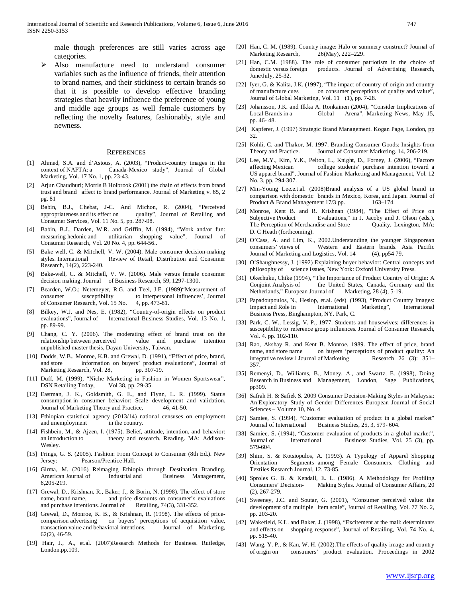male though preferences are still varies across age categories.

 Also manufacture need to understand consumer variables such as the influence of friends, their attention to brand names, and their stickiness to certain brands so that it is possible to develop effective branding strategies that heavily influence the preference of young and middle age groups as well female customers by reflecting the novelty features, fashionably, style and newness.

#### **REFERENCES**

- [1] Ahmed, S.A. and d'Astous, A. (2003), "Product-country images in the context of NAFTA: a Canada-Mexico study", Journal of Global Marketing, Vol. 17 No. 1, pp. 23-43.
- [2] Arjun Chaudhuri; Morris B Holbrook (2001) the chain of effects from brand trust and brand affect to brand performance. Journal of Marketing v. 65, 2 pg. 81
- [3] Babin, B.J., Chebat, J-C. And Michon, R. (2004), "Perceived appropriateness and its effect on quality", Journal of Retailing and Consumer Services, Vol. 11 No. 5, pp. 287-98.
- [4] Babin, B.J., Darden, W.R. and Griffin, M. (1994), "Work and/or fun: measuring hedonic and utilitarian shopping value", Journal of Consumer Research, Vol. 20 No. 4, pp. 644-56..
- Bake well, C. & Mitchell, V. W. (2004). Male consumer decision-making styles. International Review of Retail, Distribution and Consumer Research, 14(2), 223-240.
- [6] Bake-well, C. & Mitchell, V. W. (2006). Male versus female consumer decision making. Journal of Business Research, 59, 1297-1300.
- [7] Bearden, W.O.; Netemeyer, R.G. and Teel, J.E. (1989)"Measurement of consumer susceptibility to interpersonal influences', Journal of Consumer Research, Vol. 15 No. 4, pp. 473-81.
- [8] Bilkey, W.J. and Nes, E. (1982), "Country-of-origin effects on product evaluations", Journal of International Business Studies, Vol. 13 No. 1, pp. 89-99.
- [9] Chang, C. Y. (2006). The moderating effect of brand trust on the relationship between perceived value and purchase intention unpublished master thesis, Dayan University, Taiwan.
- [10] Dodds, W.B., Monroe, K.B. and Grewal, D. (1991), "Effect of price, brand, and store information on buyers' product evaluations", Journal of Marketing Research, Vol. 28, pp. 307-19. Marketing Research, Vol. 28,
- [11] Duff, M. (1999), "Niche Marketing in Fashion in Women Sportswear", DSN Retailing Today, Vol 38, pp. 29-35.
- [12] Eastman, J. K., Goldsmith, G. E., and Flynn, L. R. (1999). Status consumption in consumer behavior: Scale development and validation. Journal of Marketing Theory and Practice, 46, 41-50.
- [13] Ethiopian statistical agency (2013/14) national censuses on employment and unemployment in the country.
- [14] Fishbein, M., & Ajzen, I. (1975). Belief, attitude, intention, and behavior: an introduction to theory and research. Reading. MA: Addison-Wesley.
- [15] Frings, G. S. (2005). Fashion: From Concept to Consumer (8th Ed.). New Jersey: Pearson/Prentice Hall.
- [16] Girma, M. (2016) Reimaging Ethiopia through Destination Branding. American Journal of Industrial and Business Management, 6,205-219.
- [17] Grewal, D., Krishnan, R., Baker, J., & Borin, N. (1998). The effect of store name, brand name, and price discounts on consumer's evaluations and purchase intentions. Journal of Retailing, 74(3), 331-352.
- [18] Grewal, D., Monroe, K. B., & Krishnan, R. (1998). The effects of pricecomparison advertising on buyers' perceptions of acquisition value, transaction value and behavioral intentions. Journal of Marketing, transaction value and behavioral intentions. 62(2), 46-59.
- [19] Hair, J., A., et.al. (2007)Research Methods for Business. Rutledge, London.pp.109.
- [20] Han, C. M. (1989). Country image: Halo or summery construct? Journal of Marketing Research, 26(May), 222–229.
- [21] Han, C.M. (1988). The role of consumer patriotism in the choice of domestic versus foreign products. Journal of Advertising Research, June/July, 25-32.
- [22] Iyer, G. & Kalita, J.K. (1997), "The impact of country-of-origin and country of manufacture cues on consumer perceptions of quality and value", Journal of Global Marketing, Vol. 11 (1), pp. 7-28.
- [23] Johansson, J.K. and Ilkka A. Ronkainen (2004), "Consider Implications of Local Brands in a Global Arena", Marketing News, May 15, pp. 46- 48.
- [24] Kapferer, J. (1997) Strategic Brand Management. Kogan Page, London, pp 32.
- [25] Kohli, C. and Thakor, M. 1997. Branding Consumer Goods: Insights from Theory and Practice. Journal of Consumer Marketing. 14, 206-219.
- [26] Lee, M.Y., Kim, Y.K., Pelton, L., Knight, D., Forney, J. (2006), "Factors affecting Mexican college students' purchase intention toward a US apparel brand", Journal of Fashion Marketing and Management, Vol. 12 No. 3, pp. 294-307.
- [27] Min-Young Lee.e.t.al. (2008)Brand analysis of a US global brand in comparison with domestic brands in Mexico, Korea, and Japan. Journal of Product & Brand Management 17/3 pp. 163-174.
- [28] Monroe, Kent B. and R. Krishnan (1984), "The Effect of Price on Subjective Product Evaluations," in J. Jacoby and J. Olson (eds.), The Perception of Merchandise and Store Quality, Lexington, MA: D. C Heath (forthcoming).
- [29] O'Cass, A. and Lim, K., 2002.Understanding the younger Singaporean consumers' views of Western and Eastern brands. Asia Pacific Journal of Marketing and Logistics, Vol. 14 (4), pp54 79.
- [30] O'Shaughnessy, J. (1992) Explaining buyer behavior: Central concepts and philosophy of science issues, New York: Oxford University Press.
- [31] Okechuku, Chike (1994), "The Importance of Product Country of Origin: A the United States, Canada, Germany and the Netherlands," European Journal of Marketing, 28 (4), 5-19.
- [32] Papadoupoulos, N., Heslop, et.al. (eds). (1993), "Product Country Images: Impact and Role in International Marketing", International Business Press, Binghampton, NY. Park, C.
- [33] Park, C. W., Lessig, V. P., 1977. Students and housewives: differences in susceptibility to reference group influences. Journal of Consumer Research, Vol. 4. pp. 102-110.
- [34] Rao, Akshay R. and Kent B. Monroe. 1989. The effect of price, brand name, and store name on buyers 'perceptions of product quality: An integrative review. Journal of Marketing Research 26 (3): 351– 357.
- [35] Remenyi, D., Williams, B., Money, A., and Swartz, E. (1998), Doing Research in Business and Management, London, Sage Publications, pp309.
- [36] Safrah H. & Safiek S. 2009 Consumer Decision-Making Styles in Malaysia: An Exploratory Study of Gender Differences European Journal of Social Sciences – Volume 10, No. 4
- [37] Samiee, S. (1994), "Customer evaluation of product in a global market" Journal of International Business Studies, 25, 3, 579-604.
- [38] Samiee, S. (1994), "Customer evaluation of products in a global market", Journal of International Business Studies, Vol. 25 (3), pp. 579-604.
- [39] Shim, S. & Kotsiopulos, A. (1993). A Typology of Apparel Shopping Orientation Segments among Female Consumers. Clothing and Textiles Research Journal, 12, 73-85.
- [40] Sproles G. B. & Kendall, E. L. (1986). A Methodology for Profiling Consumers' Decision- Making Styles. Journal of Consumer Affairs, 20 (2), 267-279.
- [41] Sweeney, J.C. and Soutar, G. (2001), "Consumer perceived value: the development of a multiple item scale", Journal of Retailing, Vol. 77 No. 2, pp. 203-20.
- [42] Wakefield, K.L. and Baker, J. (1998), "Excitement at the mall: determinants and effects on shopping response", Journal of Retailing, Vol. 74 No. 4, pp. 515-40.
- [43] Wang, Y. P., & Kan, W. H. (2002). The effects of quality image and country of origin on consumers' product evaluation. Proceedings in 2002